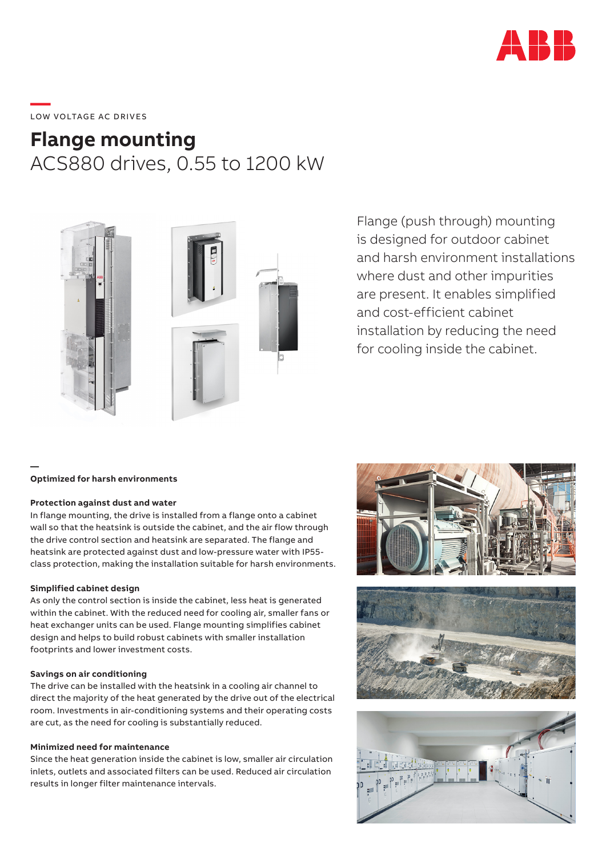

# \_\_\_\_\_<br>LOW VOLTAGE AC DRIVES

## **Flange mounting** ACS880 drives, 0.55 to 1200 kW



Flange (push through) mounting is designed for outdoor cabinet and harsh environment installations where dust and other impurities are present. It enables simplified and cost-efficient cabinet installation by reducing the need for cooling inside the cabinet.

#### **Optimized for harsh environments**

**—**

#### **Protection against dust and water**

In flange mounting, the drive is installed from a flange onto a cabinet wall so that the heatsink is outside the cabinet, and the air flow through the drive control section and heatsink are separated. The flange and heatsink are protected against dust and low-pressure water with IP55 class protection, making the installation suitable for harsh environments.

#### **Simplified cabinet design**

As only the control section is inside the cabinet, less heat is generated within the cabinet. With the reduced need for cooling air, smaller fans or heat exchanger units can be used. Flange mounting simplifies cabinet design and helps to build robust cabinets with smaller installation footprints and lower investment costs.

#### **Savings on air conditioning**

The drive can be installed with the heatsink in a cooling air channel to direct the majority of the heat generated by the drive out of the electrical room. Investments in air-conditioning systems and their operating costs are cut, as the need for cooling is substantially reduced.

#### **Minimized need for maintenance**

Since the heat generation inside the cabinet is low, smaller air circulation inlets, outlets and associated filters can be used. Reduced air circulation results in longer filter maintenance intervals.